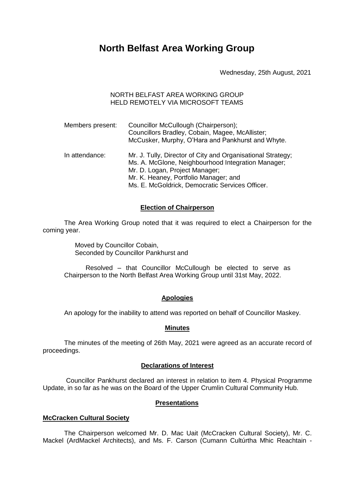# **North Belfast Area Working Group**

Wednesday, 25th August, 2021

## NORTH BELFAST AREA WORKING GROUP HELD REMOTELY VIA MICROSOFT TEAMS

| Members present: | Councillor McCullough (Chairperson);<br>Councillors Bradley, Cobain, Magee, McAllister;<br>McCusker, Murphy, O'Hara and Pankhurst and Whyte.                                                                                                    |
|------------------|-------------------------------------------------------------------------------------------------------------------------------------------------------------------------------------------------------------------------------------------------|
| In attendance:   | Mr. J. Tully, Director of City and Organisational Strategy;<br>Ms. A. McGlone, Neighbourhood Integration Manager;<br>Mr. D. Logan, Project Manager;<br>Mr. K. Heaney, Portfolio Manager; and<br>Ms. E. McGoldrick, Democratic Services Officer. |

## **Election of Chairperson**

The Area Working Group noted that it was required to elect a Chairperson for the coming year.

> Moved by Councillor Cobain, Seconded by Councillor Pankhurst and

Resolved – that Councillor McCullough be elected to serve as Chairperson to the North Belfast Area Working Group until 31st May, 2022.

### **Apologies**

An apology for the inability to attend was reported on behalf of Councillor Maskey.

#### **Minutes**

The minutes of the meeting of 26th May, 2021 were agreed as an accurate record of proceedings.

#### **Declarations of Interest**

Councillor Pankhurst declared an interest in relation to item 4. Physical Programme Update, in so far as he was on the Board of the Upper Crumlin Cultural Community Hub.

#### **Presentations**

#### **McCracken Cultural Society**

The Chairperson welcomed Mr. D. Mac Uait (McCracken Cultural Society), Mr. C. Mackel (ArdMackel Architects), and Ms. F. Carson (Cumann Cultúrtha Mhic Reachtain -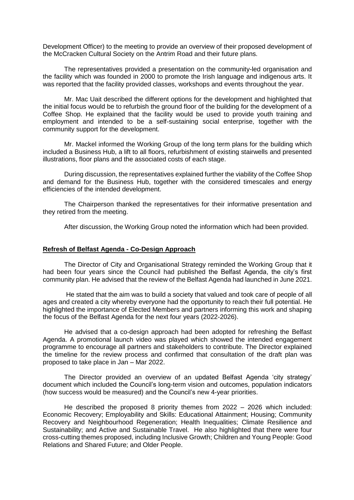Development Officer) to the meeting to provide an overview of their proposed development of the McCracken Cultural Society on the Antrim Road and their future plans.

The representatives provided a presentation on the community-led organisation and the facility which was founded in 2000 to promote the Irish language and indigenous arts. It was reported that the facility provided classes, workshops and events throughout the year.

Mr. Mac Uait described the different options for the development and highlighted that the initial focus would be to refurbish the ground floor of the building for the development of a Coffee Shop. He explained that the facility would be used to provide youth training and employment and intended to be a self-sustaining social enterprise, together with the community support for the development.

Mr. Mackel informed the Working Group of the long term plans for the building which included a Business Hub, a lift to all floors, refurbishment of existing stairwells and presented illustrations, floor plans and the associated costs of each stage.

During discussion, the representatives explained further the viability of the Coffee Shop and demand for the Business Hub, together with the considered timescales and energy efficiencies of the intended development.

The Chairperson thanked the representatives for their informative presentation and they retired from the meeting.

After discussion, the Working Group noted the information which had been provided.

#### **Refresh of Belfast Agenda - Co-Design Approach**

The Director of City and Organisational Strategy reminded the Working Group that it had been four years since the Council had published the Belfast Agenda, the city's first community plan. He advised that the review of the Belfast Agenda had launched in June 2021.

He stated that the aim was to build a society that valued and took care of people of all ages and created a city whereby everyone had the opportunity to reach their full potential. He highlighted the importance of Elected Members and partners informing this work and shaping the focus of the Belfast Agenda for the next four years (2022-2026).

He advised that a co-design approach had been adopted for refreshing the Belfast Agenda. A promotional launch video was played which showed the intended engagement programme to encourage all partners and stakeholders to contribute. The Director explained the timeline for the review process and confirmed that consultation of the draft plan was proposed to take place in Jan – Mar 2022.

The Director provided an overview of an updated Belfast Agenda 'city strategy' document which included the Council's long-term vision and outcomes, population indicators (how success would be measured) and the Council's new 4-year priorities.

He described the proposed 8 priority themes from 2022 – 2026 which included: Economic Recovery; Employability and Skills: Educational Attainment; Housing; Community Recovery and Neighbourhood Regeneration; Health Inequalities; Climate Resilience and Sustainability; and Active and Sustainable Travel. He also highlighted that there were four cross-cutting themes proposed, including Inclusive Growth; Children and Young People: Good Relations and Shared Future; and Older People.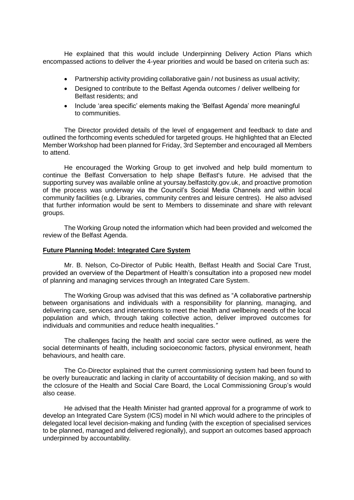He explained that this would include Underpinning Delivery Action Plans which encompassed actions to deliver the 4-year priorities and would be based on criteria such as:

- Partnership activity providing collaborative gain / not business as usual activity;
- Designed to contribute to the Belfast Agenda outcomes / deliver wellbeing for Belfast residents; and
- Include 'area specific' elements making the 'Belfast Agenda' more meaningful to communities.

The Director provided details of the level of engagement and feedback to date and outlined the forthcoming events scheduled for targeted groups. He highlighted that an Elected Member Workshop had been planned for Friday, 3rd September and encouraged all Members to attend.

He encouraged the Working Group to get involved and help build momentum to continue the Belfast Conversation to help shape Belfast's future. He advised that the supporting survey was available online at yoursay.belfastcity.gov.uk, and proactive promotion of the process was underway via the Council's Social Media Channels and within local community facilities (e.g. Libraries, community centres and leisure centres). He also advised that further information would be sent to Members to disseminate and share with relevant groups.

The Working Group noted the information which had been provided and welcomed the review of the Belfast Agenda.

#### **Future Planning Model: Integrated Care System**

Mr. B. Nelson, Co-Director of Public Health, Belfast Health and Social Care Trust, provided an overview of the Department of Health's consultation into a proposed new model of planning and managing services through an Integrated Care System.

The Working Group was advised that this was defined as "A collaborative partnership between organisations and individuals with a responsibility for planning, managing, and delivering care, services and interventions to meet the health and wellbeing needs of the local population and which, through taking collective action, deliver improved outcomes for individuals and communities and reduce health inequalities.*"*

The challenges facing the health and social care sector were outlined, as were the social determinants of health, including socioeconomic factors, physical environment, heath behaviours, and health care.

The Co-Director explained that the current commissioning system had been found to be overly bureaucratic and lacking in clarity of accountability of decision making, and so with the cclosure of the Health and Social Care Board, the Local Commissioning Group's would also cease.

He advised that the Health Minister had granted approval for a programme of work to develop an Integrated Care System (ICS) model in NI which would adhere to the principles of delegated local level decision-making and funding (with the exception of specialised services to be planned, managed and delivered regionally), and support an outcomes based approach underpinned by accountability*.*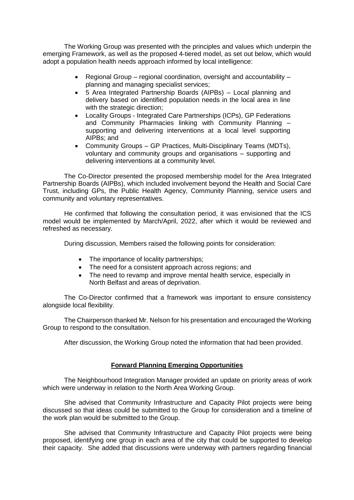The Working Group was presented with the principles and values which underpin the emerging Framework, as well as the proposed 4-tiered model, as set out below, which would adopt a population health needs approach informed by local intelligence:

- Regional Group regional coordination, oversight and accountability planning and managing specialist services;
- 5 Area Integrated Partnership Boards (AIPBs) Local planning and delivery based on identified population needs in the local area in line with the strategic direction:
- Locality Groups Integrated Care Partnerships (ICPs), GP Federations and Community Pharmacies linking with Community Planning – supporting and delivering interventions at a local level supporting AIPBs; and
- Community Groups GP Practices, Multi-Disciplinary Teams (MDTs), voluntary and community groups and organisations – supporting and delivering interventions at a community level.

The Co-Director presented the proposed membership model for the Area Integrated Partnership Boards (AIPBs), which included involvement beyond the Health and Social Care Trust, including GPs, the Public Health Agency, Community Planning, service users and community and voluntary representatives.

He confirmed that following the consultation period, it was envisioned that the ICS model would be implemented by March/April, 2022, after which it would be reviewed and refreshed as necessary.

During discussion, Members raised the following points for consideration:

- The importance of locality partnerships;
- The need for a consistent approach across regions; and
- The need to revamp and improve mental health service, especially in North Belfast and areas of deprivation.

The Co-Director confirmed that a framework was important to ensure consistency alongside local flexibility.

The Chairperson thanked Mr. Nelson for his presentation and encouraged the Working Group to respond to the consultation.

After discussion, the Working Group noted the information that had been provided.

# **Forward Planning Emerging Opportunities**

The Neighbourhood Integration Manager provided an update on priority areas of work which were underway in relation to the North Area Working Group.

She advised that Community Infrastructure and Capacity Pilot projects were being discussed so that ideas could be submitted to the Group for consideration and a timeline of the work plan would be submitted to the Group.

She advised that Community Infrastructure and Capacity Pilot projects were being proposed, identifying one group in each area of the city that could be supported to develop their capacity. She added that discussions were underway with partners regarding financial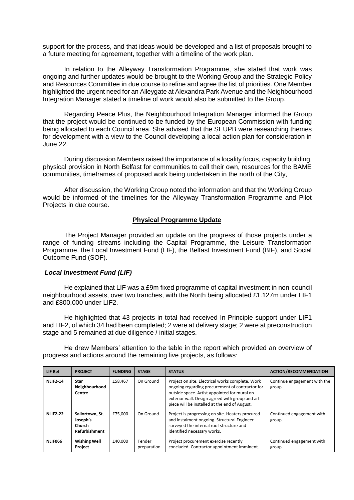support for the process, and that ideas would be developed and a list of proposals brought to a future meeting for agreement, together with a timeline of the work plan.

In relation to the Alleyway Transformation Programme, she stated that work was ongoing and further updates would be brought to the Working Group and the Strategic Policy and Resources Committee in due course to refine and agree the list of priorities. One Member highlighted the urgent need for an Alleygate at Alexandra Park Avenue and the Neighbourhood Integration Manager stated a timeline of work would also be submitted to the Group.

Regarding Peace Plus, the Neighbourhood Integration Manager informed the Group that the project would be continued to be funded by the European Commission with funding being allocated to each Council area. She advised that the SEUPB were researching themes for development with a view to the Council developing a local action plan for consideration in June 22.

During discussion Members raised the importance of a locality focus, capacity building, physical provision in North Belfast for communities to call their own, resources for the BAME communities, timeframes of proposed work being undertaken in the north of the City,

After discussion, the Working Group noted the information and that the Working Group would be informed of the timelines for the Alleyway Transformation Programme and Pilot Projects in due course.

#### **Physical Programme Update**

The Project Manager provided an update on the progress of those projects under a range of funding streams including the Capital Programme, the Leisure Transformation Programme, the Local Investment Fund (LIF), the Belfast Investment Fund (BIF), and Social Outcome Fund (SOF).

#### *Local Investment Fund (LIF)*

He explained that LIF was a £9m fixed programme of capital investment in non-council neighbourhood assets, over two tranches, with the North being allocated £1.127m under LIF1 and £800,000 under LIF2.

He highlighted that 43 projects in total had received In Principle support under LIF1 and LIF2, of which 34 had been completed; 2 were at delivery stage; 2 were at preconstruction stage and 5 remained at due diligence / initial stages.

He drew Members' attention to the table in the report which provided an overview of progress and actions around the remaining live projects, as follows:

| LIF Ref         | <b>PROJECT</b>                                         | <b>FUNDING</b> | <b>STAGE</b>          | <b>STATUS</b>                                                                                                                                                                                                                                           | <b>ACTION/RECOMMENDATION</b>           |
|-----------------|--------------------------------------------------------|----------------|-----------------------|---------------------------------------------------------------------------------------------------------------------------------------------------------------------------------------------------------------------------------------------------------|----------------------------------------|
| <b>NLIF2-14</b> | Star<br>Neighbourhood<br>Centre                        | £58.467        | On Ground             | Project on site. Electrical works complete. Work<br>ongoing regarding procurement of contractor for<br>outside space. Artist appointed for mural on<br>exterior wall. Design agreed with group and art<br>piece will be installed at the end of August. | Continue engagement with the<br>group. |
| <b>NLIF2-22</b> | Sailortown, St.<br>Joseph's<br>Church<br>Refurbishment | £75.000        | On Ground             | Project is progressing on site. Heaters procured<br>and instalment ongoing. Structural Engineer<br>surveyed the internal roof structure and<br>identified necessary works.                                                                              | Continued engagement with<br>group.    |
| <b>NLIF066</b>  | <b>Wishing Well</b><br>Project                         | £40.000        | Tender<br>preparation | Project procurement exercise recently<br>concluded. Contractor appointment imminent.                                                                                                                                                                    | Continued engagement with<br>group.    |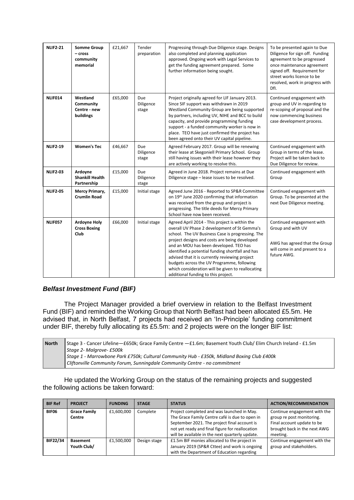| <b>NLIF2-21</b> | <b>Somme Group</b><br>- cross<br>community<br>memorial | £21,667 | Tender<br>preparation     | Progressing through Due Diligence stage. Designs<br>also completed and planning application<br>approved. Ongoing work with Legal Services to<br>get the funding agreement prepared. Some<br>further information being sought.                                                                                                                                                                                                                                                                 | To be presented again to Due<br>Diligence for sign off. Funding<br>agreement to be progressed<br>once maintenance agreement<br>signed off. Requirement for<br>street works licence to be<br>resolved, work in progress with<br>Dfl. |
|-----------------|--------------------------------------------------------|---------|---------------------------|-----------------------------------------------------------------------------------------------------------------------------------------------------------------------------------------------------------------------------------------------------------------------------------------------------------------------------------------------------------------------------------------------------------------------------------------------------------------------------------------------|-------------------------------------------------------------------------------------------------------------------------------------------------------------------------------------------------------------------------------------|
| NLIF014         | Westland<br>Community<br>Centre - new<br>buildings     | £65,000 | Due<br>Diligence<br>stage | Project originally agreed for LIF January 2013.<br>Since SIF support was withdrawn in 2019<br>Westland Community Group are being supported<br>by partners, including UV, NIHE and BCC to build<br>capacity, and provide programming funding<br>support - a funded community worker is now in<br>place. TEO have just confirmed the project has<br>been agreed onto their UV capital pipeline.                                                                                                 | Continued engagement with<br>group and UV in regarding to<br>re-scoping of proposal and the<br>now commencing business<br>case development process.                                                                                 |
| <b>NLIF2-19</b> | <b>Women's Tec</b>                                     | £46,667 | Due<br>Diligence<br>stage | Agreed February 2017. Group will be renewing<br>their lease at Skegoniell Primary School. Group<br>still having issues with their lease however they<br>are actively working to resolve this.                                                                                                                                                                                                                                                                                                 | Continued engagement with<br>Group in terms of the lease.<br>Project will be taken back to<br>Due Diligence for review.                                                                                                             |
| <b>NLIF2-03</b> | Ardoyne<br><b>Shankill Health</b><br>Partnership       | £15,000 | Due<br>Diligence<br>stage | Agreed in June 2018. Project remains at Due<br>Diligence stage - lease issues to be resolved.                                                                                                                                                                                                                                                                                                                                                                                                 | Continued engagement with<br>Group                                                                                                                                                                                                  |
| <b>NLIF2-05</b> | Mercy Primary,<br><b>Crumlin Road</b>                  | £15,000 | Initial stage             | Agreed June 2016 - Reported to SP&R Committee<br>on 19th June 2020 confirming that information<br>was received from the group and project is<br>progressing. The title deeds for Mercy Primary<br>School have now been received.                                                                                                                                                                                                                                                              | Continued engagement with<br>Group. To be presented at the<br>next Due Diligence meeting.                                                                                                                                           |
| <b>NLIF057</b>  | <b>Ardoyne Holy</b><br><b>Cross Boxing</b><br>Club     | £66,000 | Initial stage             | Agreed April 2014 - This project is within the<br>overall UV Phase 2 development of St Gemma's<br>school. The UV Business Case is progressing. The<br>project designs and costs are being developed<br>and an MOU has been developed. TEO has<br>identified a potential funding shortfall and has<br>advised that it is currently reviewing project<br>budgets across the UV Programme, following<br>which consideration will be given to reallocating<br>additional funding to this project. | Continued engagement with<br>Group and with UV<br>AWG has agreed that the Group<br>will come in and present to a<br>future AWG.                                                                                                     |

# *Belfast Investment Fund (BIF)*

The Project Manager provided a brief overview in relation to the Belfast Investment Fund (BIF) and reminded the Working Group that North Belfast had been allocated £5.5m. He advised that, in North Belfast, 7 projects had received an 'In-Principle' funding commitment under BIF, thereby fully allocating its £5.5m: and 2 projects were on the longer BIF list:

| North | Stage 3 - Cancer Lifeline—£650k; Grace Family Centre —£1.6m; Basement Youth Club/ Elim Church Ireland - £1.5m<br>Stage 2- Malgrove- £500k                                |
|-------|--------------------------------------------------------------------------------------------------------------------------------------------------------------------------|
|       | Stage 1 - Marrowbone Park £750k; Cultural Community Hub - £350k, Midland Boxing Club £400k<br>Cliftonville Community Forum, Sunningdale Community Centre - no commitment |

He updated the Working Group on the status of the remaining projects and suggested the following actions be taken forward:

| <b>BIF Ref</b> | <b>PROJECT</b>      | <b>FUNDING</b> | <b>STAGE</b> | <b>STATUS</b>                                   | <b>ACTION/RECOMMENDATION</b> |
|----------------|---------------------|----------------|--------------|-------------------------------------------------|------------------------------|
| BIF06          | <b>Grace Family</b> | £1,600,000     | Complete     | Project completed and was launched in May.      | Continue engagement with the |
|                | Centre              |                |              | The Grace Family Centre café is due to open in  | group re post monitoring.    |
|                |                     |                |              | September 2021. The project final account is    | Final account update to be   |
|                |                     |                |              | not yet ready and final figure for reallocation | brought back in the next AWG |
|                |                     |                |              | will be available in the next quarterly update. | meeting.                     |
| BIF22/34       | <b>Basement</b>     | £1.500.000     | Design stage | £1.5m BIF monies allocated to the project in    | Continue engagement with the |
|                | Youth Club/         |                |              | January 2019 (SP&R Cttee) and work is ongoing   | group and stakeholders.      |
|                |                     |                |              | with the Department of Education regarding      |                              |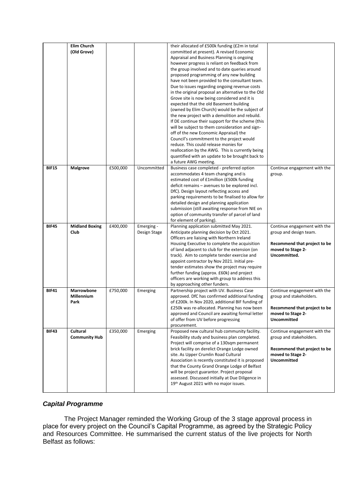|              | <b>Elim Church</b><br>(Old Grove)       |          |                            | their allocated of £500k funding (£2m in total<br>committed at present). A revised Economic<br>Appraisal and Business Planning is ongoing<br>however progress is reliant on feedback from<br>the group involved and to date queries around<br>proposed programming of any new building<br>have not been provided to the consultant team.<br>Due to issues regarding ongoing revenue costs<br>in the original proposal an alternative to the Old<br>Grove site is now being considered and it is<br>expected that the old Basement building<br>(owned by Elim Church) would be the subject of<br>the new project with a demolition and rebuild.<br>If DE continue their support for the scheme (this<br>will be subject to them consideration and sign-<br>off of the new Economic Appraisal) the<br>Council's commitment to the project would<br>reduce. This could release monies for<br>reallocation by the AWG. This is currently being<br>quantified with an update to be brought back to<br>a future AWG meeting. |                                                                                                                                    |
|--------------|-----------------------------------------|----------|----------------------------|------------------------------------------------------------------------------------------------------------------------------------------------------------------------------------------------------------------------------------------------------------------------------------------------------------------------------------------------------------------------------------------------------------------------------------------------------------------------------------------------------------------------------------------------------------------------------------------------------------------------------------------------------------------------------------------------------------------------------------------------------------------------------------------------------------------------------------------------------------------------------------------------------------------------------------------------------------------------------------------------------------------------|------------------------------------------------------------------------------------------------------------------------------------|
| <b>BIF15</b> | <b>Malgrove</b>                         | £500,000 | Uncommitted                | Business case completed - preferred option<br>accommodates 4 team changing and is<br>estimated cost of £1million (£500k funding<br>deficit remains - avenues to be explored incl.<br>DfC). Design layout reflecting access and<br>parking requirements to be finalised to allow for<br>detailed design and planning application<br>submission (still awaiting response from NIE on<br>option of community transfer of parcel of land<br>for element of parking).                                                                                                                                                                                                                                                                                                                                                                                                                                                                                                                                                       | Continue engagement with the<br>group.                                                                                             |
| <b>BIF45</b> | <b>Midland Boxing</b><br>Club           | £400,000 | Emerging -<br>Design Stage | Planning application submitted May 2021.<br>Anticipate planning decision by Oct 2021.<br>Officers are liaising with Northern Ireland<br>Housing Executive to complete the acquisition<br>of land adjacent to club for the extension (on<br>track). Aim to complete tender exercise and<br>appoint contractor by Nov 2021. Initial pre-<br>tender estimates show the project may require<br>further funding (approx. £60k) and project<br>officers are working with group to address this<br>by approaching other funders.                                                                                                                                                                                                                                                                                                                                                                                                                                                                                              | Continue engagement with the<br>group and design team.<br>Recommend that project to be<br>moved to Stage 2-<br>Uncommitted.        |
| <b>BIF41</b> | Marrowbone<br><b>Millennium</b><br>Park | £750,000 | Emerging                   | Partnership project with UV. Business Case<br>approved. DfC has confirmed additional funding<br>of £200k. In Nov 2020, additional BIF funding of<br>£250k was re-allocated. Planning has now been<br>approved and Council are awaiting formal letter<br>of offer from UV before progressing<br>procurement.                                                                                                                                                                                                                                                                                                                                                                                                                                                                                                                                                                                                                                                                                                            | Continue engagement with the<br>group and stakeholders.<br>Recommend that project to be<br>moved to Stage 2-<br><b>Uncommitted</b> |
| <b>BIF43</b> | Cultural<br><b>Community Hub</b>        | £350,000 | Emerging                   | Proposed new cultural hub community facility.<br>Feasibility study and business plan completed.<br>Project will comprise of a 130sqm permanent<br>brick facility on derelict Orange Lodge owned<br>site. As Upper Crumlin Road Cultural<br>Association is recently constituted it is proposed<br>that the County Grand Orange Lodge of Belfast<br>will be project guarantor. Project proposal<br>assessed. Discussed initially at Due Diligence in<br>19th August 2021 with no major issues.                                                                                                                                                                                                                                                                                                                                                                                                                                                                                                                           | Continue engagement with the<br>group and stakeholders.<br>Recommend that project to be<br>moved to Stage 2-<br>Uncommitted        |

# *Capital Programme*

The Project Manager reminded the Working Group of the 3 stage approval process in place for every project on the Council's Capital Programme, as agreed by the Strategic Policy and Resources Committee. He summarised the current status of the live projects for North Belfast as follows: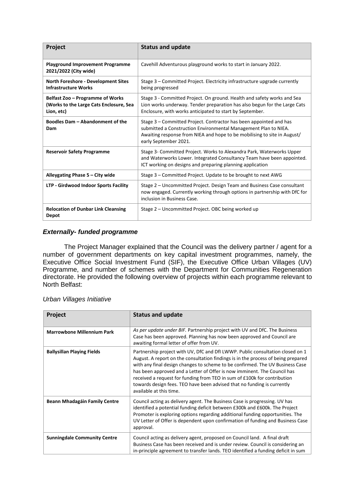| Project                                                                                   | <b>Status and update</b>                                                                                                                                                                                                                   |
|-------------------------------------------------------------------------------------------|--------------------------------------------------------------------------------------------------------------------------------------------------------------------------------------------------------------------------------------------|
| <b>Playground Improvement Programme</b><br>2021/2022 (City wide)                          | Cavehill Adventurous playground works to start in January 2022.                                                                                                                                                                            |
| <b>North Foreshore - Development Sites</b><br><b>Infrastructure Works</b>                 | Stage 3 – Committed Project. Electricity infrastructure upgrade currently<br>being progressed                                                                                                                                              |
| Belfast Zoo – Programme of Works<br>(Works to the Large Cats Enclosure, Sea<br>Lion, etc) | Stage 3 - Committed Project. On ground. Health and safety works and Sea<br>Lion works underway. Tender preparation has also begun for the Large Cats<br>Enclosure, with works anticipated to start by September.                           |
| Boodles Dam - Abandonment of the<br>Dam                                                   | Stage 3 - Committed Project. Contractor has been appointed and has<br>submitted a Construction Environmental Management Plan to NIEA.<br>Awaiting response from NIEA and hope to be mobilising to site in August/<br>early September 2021. |
| <b>Reservoir Safety Programme</b>                                                         | Stage 3- Committed Project. Works to Alexandra Park, Waterworks Upper<br>and Waterworks Lower. Integrated Consultancy Team have been appointed.<br>ICT working on designs and preparing planning application                               |
| Alleygating Phase 5 - City wide                                                           | Stage 3 – Committed Project. Update to be brought to next AWG                                                                                                                                                                              |
| LTP - Girdwood Indoor Sports Facility                                                     | Stage 2 - Uncommitted Project. Design Team and Business Case consultant<br>now engaged. Currently working through options in partnership with DfC for<br>inclusion in Business Case.                                                       |
| <b>Relocation of Dunbar Link Cleansing</b><br>Depot                                       | Stage 2 - Uncommitted Project. OBC being worked up                                                                                                                                                                                         |

# *Externally- funded programme*

The Project Manager explained that the Council was the delivery partner / agent for a number of government departments on key capital investment programmes, namely, the Executive Office Social Investment Fund (SIF), the Executive Office Urban Villages (UV) Programme, and number of schemes with the Department for Communities Regeneration directorate. He provided the following overview of projects within each programme relevant to North Belfast:

#### *Urban Villages Initiative*

| Project                             | <b>Status and update</b>                                                                                                                                                                                                                                                                                                                                                                                                                                                                                           |
|-------------------------------------|--------------------------------------------------------------------------------------------------------------------------------------------------------------------------------------------------------------------------------------------------------------------------------------------------------------------------------------------------------------------------------------------------------------------------------------------------------------------------------------------------------------------|
| <b>Marrowbone Millennium Park</b>   | As per update under BIF. Partnership project with UV and DfC. The Business<br>Case has been approved. Planning has now been approved and Council are<br>awaiting formal letter of offer from UV.                                                                                                                                                                                                                                                                                                                   |
| <b>Ballysillan Playing Fields</b>   | Partnership project with UV, DfC and DfI LWWP. Public consultation closed on 1<br>August. A report on the consultation findings is in the process of being prepared<br>with any final design changes to scheme to be confirmed. The UV Business Case<br>has been approved and a Letter of Offer is now imminent. The Council has<br>received a request for funding from TEO in sum of £100k for contribution<br>towards design fees. TEO have been advised that no funding is currently<br>available at this time. |
| Beann Mhadagáin Family Centre       | Council acting as delivery agent. The Business Case is progressing. UV has<br>identified a potential funding deficit between £300k and £600k. The Project<br>Promoter is exploring options regarding additional funding opportunities. The<br>UV Letter of Offer is dependent upon confirmation of funding and Business Case<br>approval.                                                                                                                                                                          |
| <b>Sunningdale Community Centre</b> | Council acting as delivery agent, proposed on Council land. A final draft<br>Business Case has been received and is under review. Council is considering an<br>in-principle agreement to transfer lands. TEO identified a funding deficit in sum                                                                                                                                                                                                                                                                   |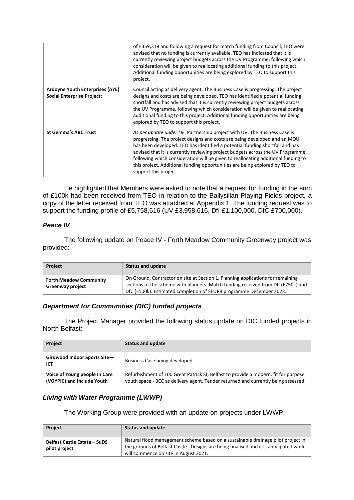|                                                                             | of £359,318 and following a request for match funding from Council, TEO were<br>advised that no funding is currently available. TEO has indicated that it is<br>currently reviewing project budgets across the UV Programme, following which<br>consideration will be given to reallocating additional funding to this project.<br>Additional funding opportunities are being explored by TEO to support this<br>project.                                                                                               |
|-----------------------------------------------------------------------------|-------------------------------------------------------------------------------------------------------------------------------------------------------------------------------------------------------------------------------------------------------------------------------------------------------------------------------------------------------------------------------------------------------------------------------------------------------------------------------------------------------------------------|
| <b>Ardoyne Youth Enterprises (AYE)</b><br><b>Social Enterprise Project:</b> | Council acting as delivery agent. The Business Case is progressing. The project<br>designs and costs are being developed. TEO has identified a potential funding<br>shortfall and has advised that it is currently reviewing project budgets across<br>the UV Programme, following which consideration will be given to reallocating<br>additional funding to this project. Additional funding opportunities are being<br>explored by TEO to support this project.                                                      |
| <b>St Gemma's ABC Trust</b>                                                 | As per update under LIF. Partnership project with UV. The Business Case is<br>progressing. The project designs and costs are being developed and an MOU<br>has been developed. TEO has identified a potential funding shortfall and has<br>advised that it is currently reviewing project budgets across the UV Programme,<br>following which consideration will be given to reallocating additional funding to<br>this project. Additional funding opportunities are being explored by TEO to<br>support this project. |

He highlighted that Members were asked to note that a request for funding in the sum of £100k had been received from TEO in relation to the Ballysillan Playing Fields project, a copy of the letter received from TEO was attached at Appendix 1. The funding request was to support the funding profile of £5,758,616 (UV £3,958,616, DfI £1,100,000, DfC £700,000).

# *Peace IV*

The following update on Peace IV - Forth Meadow Community Greenway project was provided:

| <b>Project</b>                                    | Status and update                                                                                                                                                                                                                           |
|---------------------------------------------------|---------------------------------------------------------------------------------------------------------------------------------------------------------------------------------------------------------------------------------------------|
| <b>Forth Meadow Community</b><br>Greenway project | On Ground. Contractor on site at Section 1. Planning applications for remaining<br>sections of the scheme with planners. Match funding received from DfI (£750k) and<br>DfC (£500k). Estimated completion of SEUPB programme December 2023. |

# *Department for Communities (DfC) funded projects*

The Project Manager provided the following status update on DfC funded projects in North Belfast:

| <b>Project</b>                                              | <b>Status and update</b>                                                                                                                                                  |  |  |
|-------------------------------------------------------------|---------------------------------------------------------------------------------------------------------------------------------------------------------------------------|--|--|
| Girdwood Indoor Sports Site-<br>ICT                         | Business Case being developed.                                                                                                                                            |  |  |
| Voice of Young people In Care<br>(VOYPIC) and Include Youth | Refurbishment of 100 Great Patrick St, Belfast to provide a modern, fit for purpose<br>youth space - BCC as delivery agent. Tender returned and currently being assessed. |  |  |

# *Living with Water Programme (LWWP)*

The Working Group were provided with an update on projects under LWWP:

| <b>Project</b>                                       | <b>Status and update</b>                                                                                                                                                                                           |
|------------------------------------------------------|--------------------------------------------------------------------------------------------------------------------------------------------------------------------------------------------------------------------|
| <b>Belfast Castle Estate - SuDS</b><br>pilot project | Natural flood management scheme based on a sustainable drainage pilot project in<br>the grounds of Belfast Castle. Designs are being finalised and it is anticipated work<br>will commence on site in August 2021. |